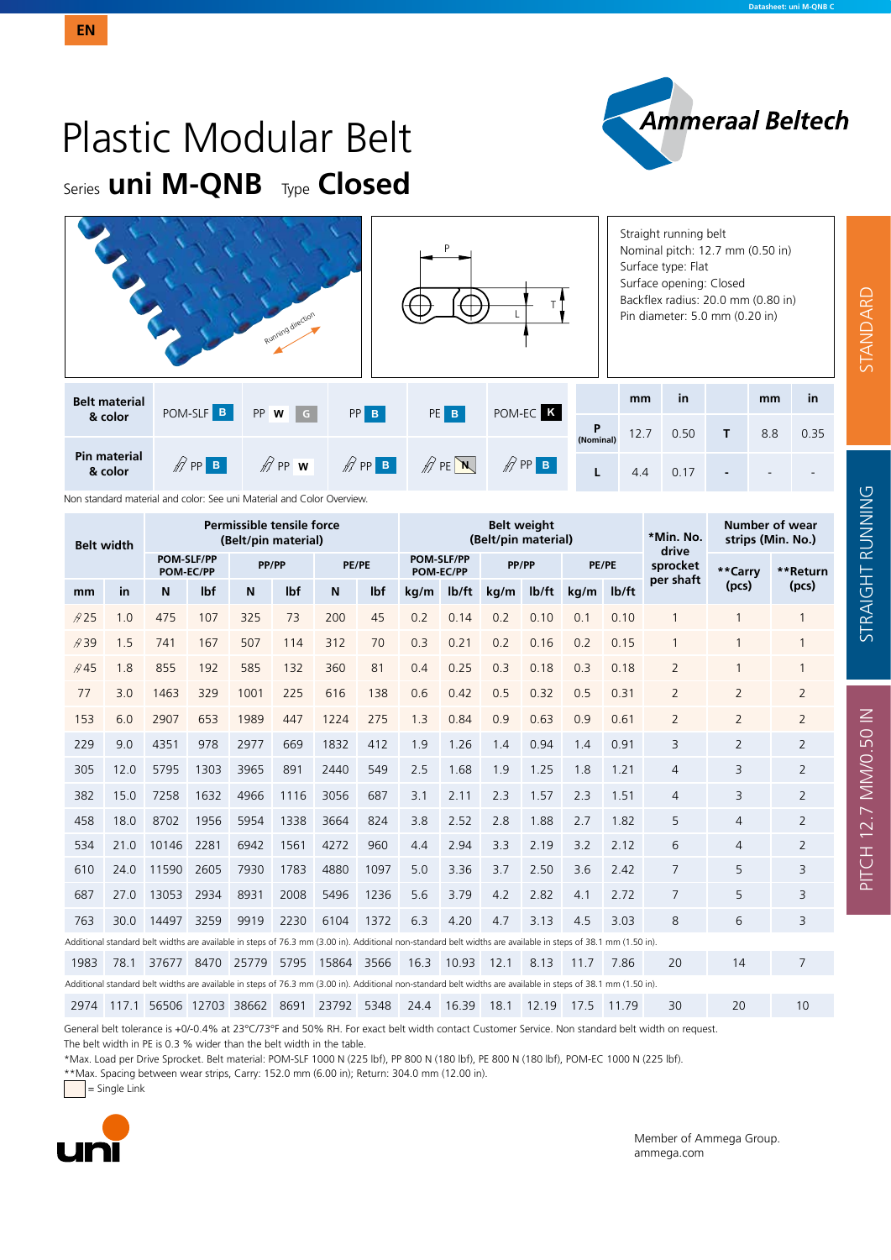PITCH 12.7 MM/0.50 IN STANDARD STRAIGHT RUNNING

PITCH 12.7 MM/0.50 IN

STRAIGHT RUNNING

STANDARD

# Plastic Modular Belt Series **uni M-QNB** Type **Closed**

|                                |                                                  | Running direction |                           |                                |                     |                | Straight running belt<br>Nominal pitch: 12.7 mm (0.50 in)<br>Surface type: Flat<br>Surface opening: Closed<br>Backflex radius: 20.0 mm (0.80 in)<br>Pin diameter: 5.0 mm (0.20 in) |      |    |     |      |  |  |
|--------------------------------|--------------------------------------------------|-------------------|---------------------------|--------------------------------|---------------------|----------------|------------------------------------------------------------------------------------------------------------------------------------------------------------------------------------|------|----|-----|------|--|--|
| <b>Belt material</b>           | POM-SLF <sup>B</sup>                             | $PP$ <b>W</b> $G$ | $PP$ $B$<br>PE B          |                                | POM-EC <sup>K</sup> |                | mm                                                                                                                                                                                 | in   |    | mm  | in   |  |  |
| & color                        |                                                  |                   |                           |                                |                     | P<br>(Nominal) | 12.7                                                                                                                                                                               | 0.50 | T. | 8.8 | 0.35 |  |  |
| <b>Pin material</b><br>& color | $\mathscr{D}$ PP <b>B</b><br>$\mathbb{Z}$ PP $w$ |                   | $\mathscr{D}$ PP <b>B</b> | $\mathbb{Z}$ PE $\overline{N}$ | $\mathscr{D}$ PP B  |                | 4.4                                                                                                                                                                                | 0.17 |    |     |      |  |  |

Non standard material and color: See uni Material and Color Overview.

| <b>Belt width</b> |           |                                |            | Permissible tensile force<br>(Belt/pin material) |                  |                                                                                                                                                               |      |                                |                | <b>Belt weight</b><br>(Belt/pin material) |                  | *Min. No.<br>drive | Number of wear<br>strips (Min. No.) |                |                |                |
|-------------------|-----------|--------------------------------|------------|--------------------------------------------------|------------------|---------------------------------------------------------------------------------------------------------------------------------------------------------------|------|--------------------------------|----------------|-------------------------------------------|------------------|--------------------|-------------------------------------|----------------|----------------|----------------|
|                   |           | <b>POM-SLF/PP</b><br>POM-EC/PP |            | PP/PP                                            |                  | PE/PE                                                                                                                                                         |      | <b>POM-SLF/PP</b><br>POM-EC/PP |                | PP/PP                                     |                  | PE/PE              |                                     | sprocket       | **Carry        | **Return       |
| mm                | <b>in</b> | N                              | <b>Ibf</b> | N                                                | I <sub>b</sub> f | N                                                                                                                                                             | lbf  | kg/m                           | $I\frac{b}{t}$ | kg/m                                      | $I\rightarrow I$ | kg/m               | I <sub>b</sub> /ft                  | per shaft      | (pcs)          | (pcs)          |
| A25               | 1.0       | 475                            | 107        | 325                                              | 73               | 200                                                                                                                                                           | 45   | 0.2                            | 0.14           | 0.2                                       | 0.10             | 0.1                | 0.10                                | 1              | 1              |                |
| A39               | 1.5       | 741                            | 167        | 507                                              | 114              | 312                                                                                                                                                           | 70   | 0.3                            | 0.21           | 0.2                                       | 0.16             | 0.2                | 0.15                                | $\mathbf{1}$   | $\mathbf{1}$   |                |
| A45               | 1.8       | 855                            | 192        | 585                                              | 132              | 360                                                                                                                                                           | 81   | 0.4                            | 0.25           | 0.3                                       | 0.18             | 0.3                | 0.18                                | $\overline{2}$ |                |                |
| 77                | 3.0       | 1463                           | 329        | 1001                                             | 225              | 616                                                                                                                                                           | 138  | 0.6                            | 0.42           | 0.5                                       | 0.32             | 0.5                | 0.31                                | 2              | 2              | $\overline{2}$ |
| 153               | 6.0       | 2907                           | 653        | 1989                                             | 447              | 1224                                                                                                                                                          | 275  | 1.3                            | 0.84           | 0.9                                       | 0.63             | 0.9                | 0.61                                | $\overline{2}$ | 2              | $\overline{2}$ |
| 229               | 9.0       | 4351                           | 978        | 2977                                             | 669              | 1832                                                                                                                                                          | 412  | 1.9                            | 1.26           | 1.4                                       | 0.94             | 1.4                | 0.91                                | 3              | $\overline{2}$ | 2              |
| 305               | 12.0      | 5795                           | 1303       | 3965                                             | 891              | 2440                                                                                                                                                          | 549  | 2.5                            | 1.68           | 1.9                                       | 1.25             | 1.8                | 1.21                                | 4              | 3              | $\overline{2}$ |
| 382               | 15.0      | 7258                           | 1632       | 4966                                             | 1116             | 3056                                                                                                                                                          | 687  | 3.1                            | 2.11           | 2.3                                       | 1.57             | 2.3                | 1.51                                | 4              | 3              | 2              |
| 458               | 18.0      | 8702                           | 1956       | 5954                                             | 1338             | 3664                                                                                                                                                          | 824  | 3.8                            | 2.52           | 2.8                                       | 1.88             | 2.7                | 1.82                                | 5              | $\overline{4}$ | $\overline{2}$ |
| 534               | 21.0      | 10146                          | 2281       | 6942                                             | 1561             | 4272                                                                                                                                                          | 960  | 4.4                            | 2.94           | 3.3                                       | 2.19             | 3.2                | 2.12                                | 6              | 4              | $\overline{2}$ |
| 610               | 24.0      | 11590                          | 2605       | 7930                                             | 1783             | 4880                                                                                                                                                          | 1097 | 5.0                            | 3.36           | 3.7                                       | 2.50             | 3.6                | 2.42                                | 7              | 5              | 3              |
| 687               | 27.0      | 13053                          | 2934       | 8931                                             | 2008             | 5496                                                                                                                                                          | 1236 | 5.6                            | 3.79           | 4.2                                       | 2.82             | 4.1                | 2.72                                | 7              | 5              | 3              |
| 763               | 30.0      | 14497                          | 3259       | 9919                                             | 2230             | 6104                                                                                                                                                          | 1372 | 6.3                            | 4.20           | 4.7                                       | 3.13             | 4.5                | 3.03                                | 8              | 6              | 3              |
|                   |           |                                |            |                                                  |                  | Additional standard belt widths are available in steps of 76.3 mm (3.00 in). Additional non-standard belt widths are available in steps of 38.1 mm (1.50 in). |      |                                |                |                                           |                  |                    |                                     |                |                |                |
| 1983              | 78.1      | 37677                          |            | 8470 25779                                       | 5795             | 15864 3566                                                                                                                                                    |      | 16.3                           | 10.93          | 12.1                                      | 8.13             | 11.7               | 7.86                                | 20             | 14             | 7              |
|                   |           |                                |            |                                                  |                  | Additional standard belt widths are available in steps of 76.3 mm (3.00 in). Additional non-standard belt widths are available in steps of 38.1 mm (1.50 in). |      |                                |                |                                           |                  |                    |                                     |                |                |                |
| 2974              | 117.1     | 56506 12703 38662              |            |                                                  | 8691             | 23792                                                                                                                                                         | 5348 | 24.4                           | 16.39          | 18.1                                      | 12.19            | 17.5               | 11.79                               | 30             | 20             | 10             |

General belt tolerance is +0/-0.4% at 23°C/73°F and 50% RH. For exact belt width contact Customer Service. Non standard belt width on request. The belt width in PE is 0.3 % wider than the belt width in the table.

\*Max. Load per Drive Sprocket. Belt material: POM-SLF 1000 N (225 lbf), PP 800 N (180 lbf), PE 800 N (180 lbf), POM-EC 1000 N (225 lbf).

\*\*Max. Spacing between wear strips, Carry: 152.0 mm (6.00 in); Return: 304.0 mm (12.00 in).

 $=$  Single Link



Member of Ammega Group. ammega.com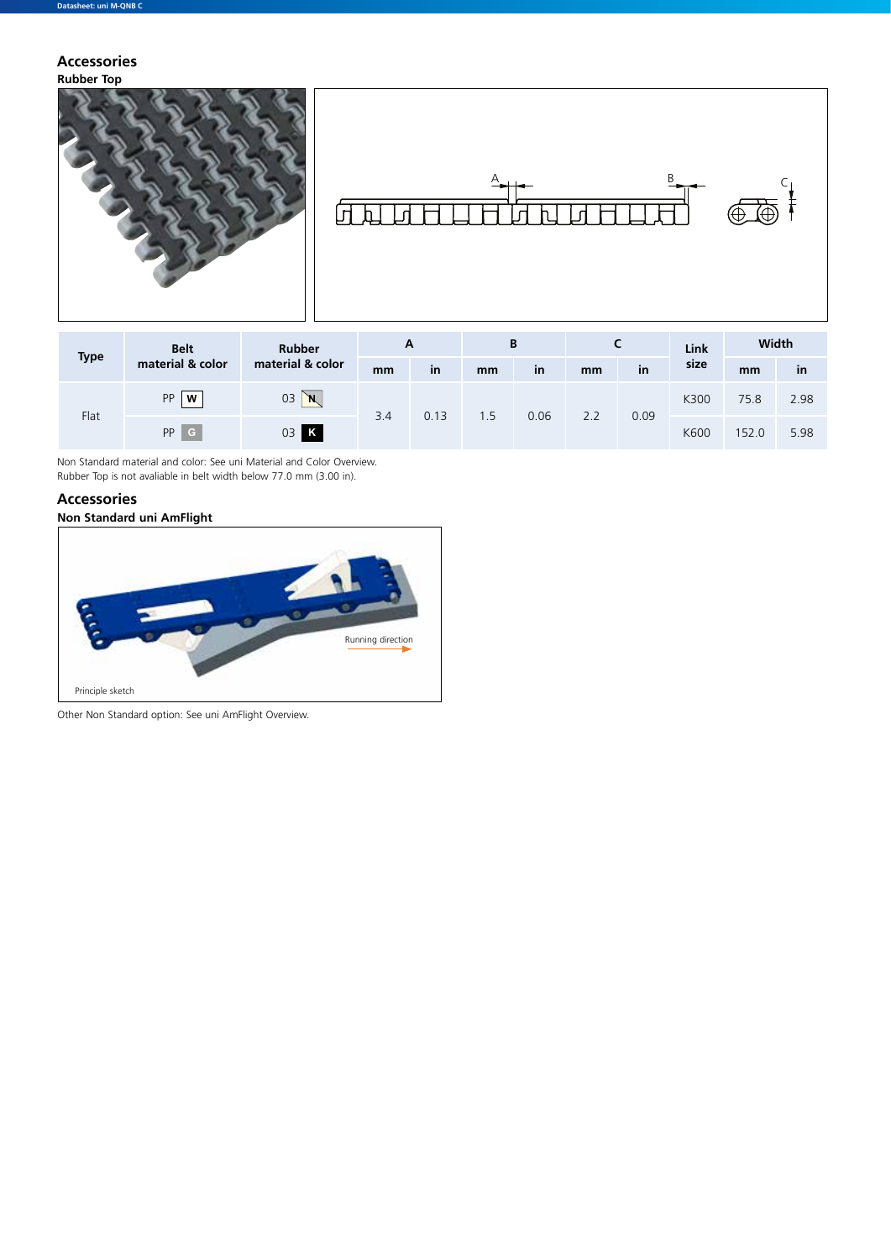#### **Rubber Top Accessories**





| <b>Type</b> | <b>Belt</b>      | <b>Rubber</b>    | A   |      |     | В    |     |      | Link | Width |           |
|-------------|------------------|------------------|-----|------|-----|------|-----|------|------|-------|-----------|
|             | material & color | material & color | mm  | in   | mm  | in   | mm  | in   | size | mm    | <b>in</b> |
| Flat        | PP<br>W          | 03<br>`N,        |     | 0.13 | 1.5 | 0.06 | 2.2 | 0.09 | K300 | 75.8  | 2.98      |
|             | PP<br>.c.        | 03 K             | 3.4 |      |     |      |     |      | K600 | 152.0 | 5.98      |

Non Standard material and color: See uni Material and Color Overview. Rubber Top is not avaliable in belt width below 77.0 mm (3.00 in).

### **Non Standard uni AmFlight Accessories**



Other Non Standard option: See uni AmFlight Overview.